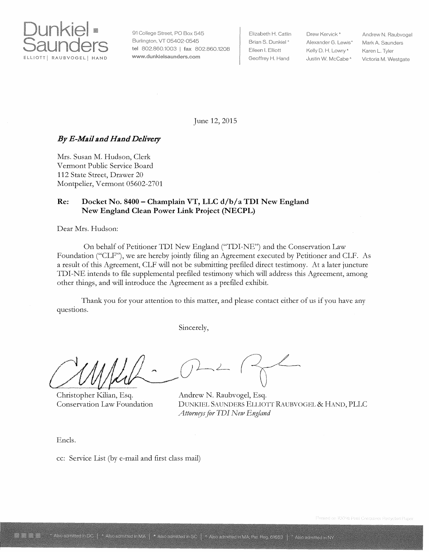

91 College Street, PO Box 545 Burlington, VT 05402-0545 tel 802.860.1003 | fax 802.860.1208 www.dunkieisaunders.com

Elizabeth H. Catlin Drew Kervick \* Eileen I. Elliott Kelly D. H. Lowry \*

Brian S. Dunkiel \* Alexander G. Lewis<sup>\*</sup> Geoffrey H. Hand Justin W. McCabe<sup>4</sup>

Andrew N. Raubvogel Mark A. Saunders Karen L. Tyler Victoria M. Westgate

June 12, 2015

# **By** *E-Mail and Hand Delivery*

Mrs. Susan M. Hudson, Clerk Vermont Public Service Board 112 State Street, Drawer 20 Montpelier, Vermont 05602-2701

## **Re: Docket No. 8400- Champlain VT, LLC d/b/a TDI New England New England Clean Power Link Project (NECPL)**

Dear Mrs. Hudson:

On behalf of Petitioner TDI New England ("TDI-NE") and the Conservation Law Foundation ("CLF"), we are hereby jointly filing an Agreement executed by Petitioner and CLF. As a result of this Agreement, CLF will not be submitting prefiled direct testimony. At a later juncture TDI-NE intends to file supplemental prefiled testimony which will address this Agreement, among other things, and will introduce the Agreement as a prefiled exhibit.

Thank you for your attention to this matter, and please contact either of us if you have any questions.

Sincerely,

Christopher Kilian, Esq. Conservation Law Foundation

Andrew N. Raubvogel, Esq. DUNKIEL SAUNDERS ELLI01T RAUBVOGEL & HAND, PLLC *Attorneys for TDI New England* 

Encls.

cc: Service List (by e-mail and first class mail)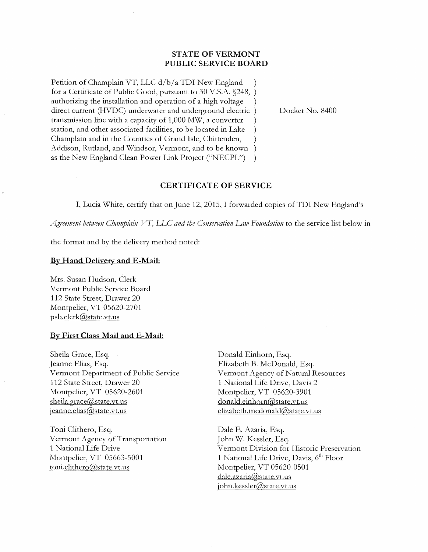## **STATE OF VERMONT PUBLIC SERVICE BOARD**

Petition of Champlain VT, LLC d/b/a TDI New England for a Certificate of Public Good, pursuant to 30 V.S.A. §248, ) authorizing the installation and operation of a high voltage ) direct current (HVDC) underwater and underground electric ) transmission line with a capacity of  $1,000$  MW, a converter  $\qquad$ ) station, and other associated facilities, to be located in Lake ) Champlain and in the Counties of Grand Isle, Chittenden, Addison, Rutland, and Windsor, Vermont, and to be known ) as the New England Clean Power Link Project ("NECPL") )

Docket No. 8400

### **CERTIFICATE OF SERVICE**

I, Lucia White, certify that on June 12, 2015, I forwarded copies ofTDI New England's

*Agreement between Champlain VT, LLC and the Conservation Law \_I'ioundation* to the service list below in

the format and by the delivery method noted:

#### **By Hand Delivery and E-Mail:**

Mrs. Susan Hudson, Clerk Vermont Public Service Board 112 State Street, Drawer 20 Montpelier, VT 05620-2701 psb.clerk@state.vt.us

#### **By First Class Mail and E-Mail:**

Sheila Grace, Esq. Jeanne Elias, Esq. Vermont Department of Public Service 112 State Street, Drawer 20 Montpelier, VT 05620-2601 sheila.grace@state.vt.us jeanne.elias@state.vt.us

Toni Clithero, Esq. Vermont Agency of Transportation 1 National Life Drive Montpelier, VT 05663-5001 toni.clithero@state.vt.us

Donald Einhorn, Esq. Elizabeth B. McDonald, Esq. Vermont Agency of Natural Resources 1 National Life Drive, Davis 2 Montpelier, VT 05620-3901 donald.einhorn@state.vt.us  $elizableth.medonald@state.vt.us$ 

Dale E. Azaria, Esq. John W. Kessler, Esq. Vermont Division for Historic Preservation 1 National Life Drive, Davis,  $6<sup>th</sup>$  Floor Montpelier, VT 05620-0501 dale.azaria@state.vt.us john.kessler@state.vt.us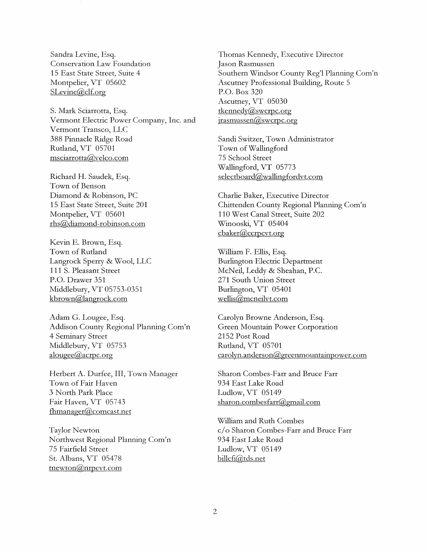Sandra Levine, Esq. Conservation Law Foundation 15 East State Street, Suite 4 Montpelier, VT 05602 SLevine@clf.org

S. Mark Sciarrotta, Esq. Vermont Electric Power Company, Inc. and Vermont Transco, LLC 388 Pinnacle Ridge Road Rutland, VT 05701 msciarrotta@velco.com

Richard H. Saudek, Esq. Town of Benson Diamond & Robinson, PC 15 East State Street, Suite 201 Montpelier, VT 05601 rhs@diamond-robinson.com

Kevin E. Brown, Esq. Town of Rutland Langrock Sperry & Wool, LLC **111** S. Pleasant Street P.O. Drawer 351 Middlebury, VT 05753-0351 kbrown@langrock.com

Adam G. Lougee, Esq. Addison County Regional Planning Com'n 4 Seminary Street Middlebury, VT 05753 alougee@acrpc.org

Herbert A. Durfee, III, Town Manager Town of Fair Haven 3 North Park Place Fair Haven, VT 05743 fhmanager@comcast.net

Taylor Newton Northwest Regional Planning Com'n 75 Fairfield Street St. Albans, VT 05478 tnewton@nrpcvt.com

Thomas Kennedy, Executive Director Jason Rasmussen Southern Windsor County Reg'l Planning Com'n Ascutney Professional Building, Route 5 P.O. Box 320 Ascutney, VT 05030 tkennedy@swcrpc.org jrasmussen@swcrpc.org

Sandi Switzer, Town Administrator Town of Wallingford 75 School Street Wallingford, VT 05773 selectboard@wallingfordvt.com

Charlie Baker, Executive Director Chittenden County Regional Planning Com'n 110 West Canal Street, Suite 202 Winooski, VT 05404 cbaker@ccrpcvt.org

William F. Ellis, Esq. Burlington Electric Department McNeil, Leddy & Sheahan, P.C. 271 South Union Street Burlington, VT 05401 wellis@mcneilvt.com

Carolyn Browne Anderson, Esq. Green Mountain Power Corporation 2152 Post Road Rutland, VT 05701 carolyn.anderson@greenmountainpower.com

Sharon Combes-Farr and Bruce Farr 934 East Lake Road Ludlow, VT 05149 sharon.combesfarr@gmail.com

William and Ruth Combes c/ o Sharon Combes-Farr and Bruce Farr 934 East Lake Road Ludlow, VT 05149 billcfi@tds.net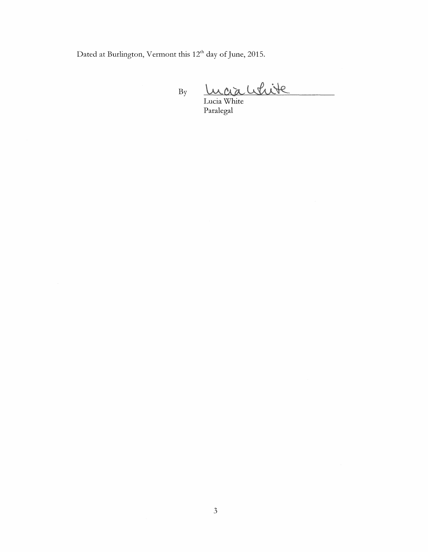Dated at Burlington, Vermont this 12<sup>th</sup> day of June, 2015.

raauhite By Lucia White

Paralegal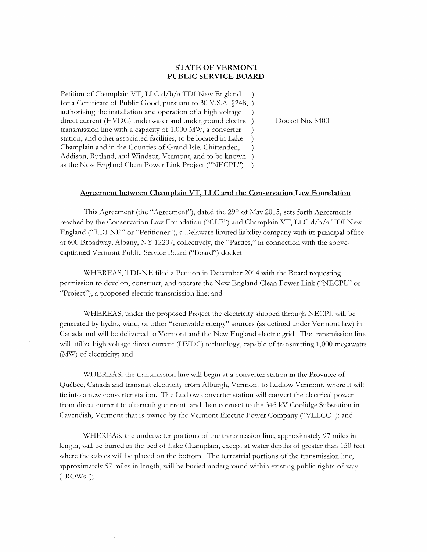#### **STATE OF VERMONT PUBLIC SERVICE BOARD**

Petition of Champlain VT, LLC d/b/a TDI New England for a Certificate of Public Good, pursuant to 30 V.S.A. §248, ) authorizing the installation and operation of a high voltage ) direct current (HVDC) underwater and underground electric ) transmission line with a capacity of 1,000 MW, a converter station, and other associated facilities, to be located in Lake Champlain and in the Counties of Grand Isle, Chittenden, ) Addison, Rutland, and Windsor, Vermont, and to be known ) as the New England Clean Power Link Project ("NECPL") )

Docket No. 8400

#### **Agreement between Champlain VT, LLC and the Conservation Law Foundation**

This Agreement (the "Agreement"), dated the 29<sup>th</sup> of May 2015, sets forth Agreements reached by the Conservation Law Foundation ("CLF") and Champlain VT, LLC d/b/a TDI New England ("TDI-NE" or "Petitioner"), a Delaware limited liability company with its principal office at 600 Broadway, Albany, NY 12207, collectively, the "Parties," in connection with the abovecaptioned Vermont Public Service Board ("Board") docket.

WHEREAS, TDI-NE filed a Petition in December 2014 with the Board requesting permission to develop, construct, and operate the New England Clean Power Link ("NECPL" or "Project"), a proposed electric transmission line; and

WHEREAS, under the proposed Project the electricity shipped through NECPL will be generated by hydro, wind, or other "renewable energy" sources (as defined under Vermont law) in Canada and will be delivered to Vermont and the New England electric grid. The transmission line will utilize high voltage direct current (HVDC) technology, capable of transmitting 1,000 megawatts (MW) of electricity; and

WHEREAS, the transmission line will begin at a converter station in the Province of Quebec, Canada and transmit electricity from Alburgh, Vermont to Ludlow Vermont, where it will tie into a new converter station. The Ludlow converter station will convert the electrical power from direct current to alternating current and then connect to the 345 kV Coolidge Substation in Cavendish, Vermont that is owned by the Vermont Electric Power Company ("VELCO"); and

\\!HEREAS, the underwater portions of the transmission line, approximately 97 miles in length, will be buried in the bed of Lake Champlain, except at water depths of greater than 150 feet where the cables will be placed on the bottom. The terrestrial portions of the transmission line, approximately 57 miles in length, will be buried underground within existing public rights-of-way ("ROWs");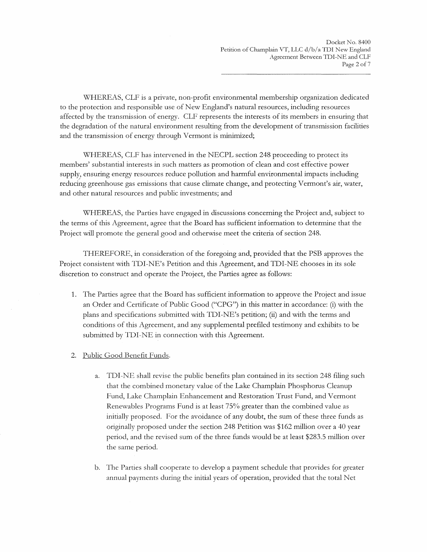\\!HEREAS, CLF is a private, non-profit environmental membership organization dedicated to the protection and responsible use of New England's natural resources, including resources affected by the transmission of energy. CLF represents the interests of its members in ensuring that the degradation of the natural environment resulting from the development of transmission facilities and the transmission of energy through Vermont is minimized;

WHEREAS, CLF has intervened in the NECPL section 248 proceeding to protect its members' substantial interests in such matters as promotion of clean and cost effective power supply, ensuring energy resources reduce pollution and harmful environmental impacts including reducing greenhouse gas emissions that cause climate change, and protecting Vermont's air, water, and other natural resources and public investments; and

WHEREAS, the Parties have engaged in discussions concerning the Project and, subject to the terms of this Agreement, agree that the Board has sufficient information to determine that the Project will promote the general good and otherwise meet the criteria of section 248.

THEREFORE, in consideration of the foregoing and, provided that the PSB approves the Project consistent with TDI-NE's Petition and this Agreement, and TDI-NE chooses in its sole discretion to construct and operate the Project, the Parties agree as follows:

- 1. The Parties agree that the Board has sufficient information to approve the Project and issue an Order and Certificate of Public Good ("CPG") in this matter in accordance: (i) with the plans and specifications submitted with TDI-NE's petition; (ii) and with the terms and conditions of this Agreement, and any supplemental prefiled testimony and exhibits to be submitted by TDI-NE in connection with this Agreement.
- 2. Public Good Benefit Funds.
	- a. TDI-NE shall revise the public benefits plan contained in its section 248 filing such that the combined monetary value of the Lake Champlain Phosphorus Cleanup Fund, Lake Champlain Enhancement and Restoration Trust Fund, and Vermont Renewables Programs Fund is at least 75% greater than the combined value as initially proposed. For the avoidance of any doubt, the sum of these three funds as originally proposed under the section 248 Petition was \$162 million over a 40 year period, and the revised sum of the three funds would be at least \$283.5 million over the same period.
	- b. The Parties shall cooperate to develop a payment schedule that provides for greater annual payments during the initial years of operation, provided that the total Net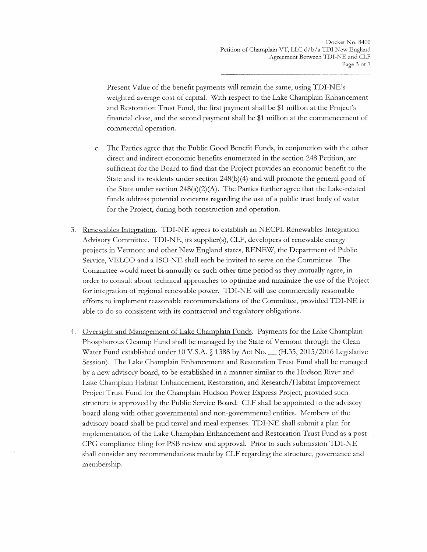Present Value of the benefit payments will remain the same, using TDI-NE's weighted average cost of capital. With respect to the Lake Champlain Enhancement and Restoration Trust Fund, the first payment shall be \$1 million at the Project's financial close, and the second payment shall be \$1 million at the commencement of commercial operation.

- c. The Parties agree that the Public Good Benefit Funds, in conjunction with the other direct and indirect economic benefits enumerated in the section 248 Petition, are sufficient for the Board to find that the Project provides an economic benefit to the State and its residents under section 248(b)(4) and will promote the general good of the State under section  $248(a)(2)(A)$ . The Parties further agree that the Lake-related funds address potential concerns regarding the use of a public trust body of water for the Project, during both construction and operation.
- 3. Renewables Integration. TDI-NE agrees to establish an NECPL Renewables Integration Advisory Committee. TDI-NE, its supplier(s), CLF, developers of renewable energy projects in Vermont and other New England states, RENEW, the Department of Public Service, VELCO and a ISO-NE shall each be invited to serve on the Committee. The Committee would meet bi-annually or such other time period as they mutually agree, in order to consult about technical approaches to optimize and maximize the use of the Project for integration of regional renewable power. TDI-NE will use commercially reasonable efforts to implement reasonable recommendations of the Committee, provided TDI-NE is able to do so consistent with its contractual and regulatory obligations.
- 4. Oversight and Management of Lake Champlain Funds. Payments for the Lake Champlain Phosphorous Cleanup Fund shall be managed by the State of Vermont through the Clean Water Fund established under 10 V.S.A. § 1388 by Act No. <sub>\_\_</sub> (H.35, 2015/2016 Legislative Session). The Lake Champlain Enhancement and Restoration Trust Fund shall be managed by a new advisory board, to be established in a manner similar to the Hudson River and Lake Champlain Habitat Enhancement, Restoration, and Research/Habitat Improvement Project Trust Fund for the Champlain Hudson Power Express Project, provided such structure is approved by the Public Service Board. CLF shall be appointed to the advisory board along with other governmental and non-governmental entities. Members of the advisory board shall be paid travel and meal expenses. TDI-NE shall submit a plan for implementation of the Lake Champlain Enhancement and Restoration Trust Fund as a post-CPG compliance filing for PSB review and approval. Prior to such submission TDI-NE shall consider any recommendations made by CLF regarding the structure, governance and membership.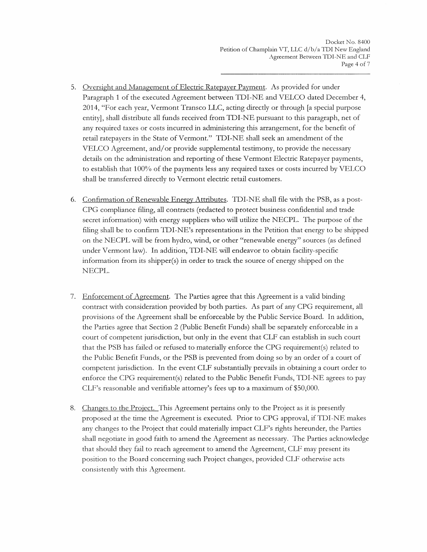- 5. Oversight and Management of Electric Ratepayer Payment. As provided for under Paragraph 1 of the executed Agreement between TDI-NE and VELCO dated December 4, 2014, "For each year, Vermont Transco LLC, acting directly or through [a special purpose entity], shall distribute all funds received from TDI-NE pursuant to this paragraph, net of any required taxes or costs incurred in administering this arrangement, for the benefit of retail ratepayers in the State of Vermont." TDI-NE shall seek an amendment of the VELCO Agreement, and/or provide supplemental testimony, to provide the necessary details on the administration and reporting of these Vermont Electric Ratepayer payments, to establish that 100% of the payments less any required taxes or costs incurred by VELCO shall be transferred directly to Vermont electric retail customers.
- 6. Confirmation of Renewable Energy Attributes. TDI-NE shall file with the PSB, as a post-CPG compliance filing, all contracts (redacted to protect business confidential and trade secret information) with energy suppliers who will utilize the NECPL. The purpose of the filing shall be to confirm TDI-NE's representations in the Petition that energy to be shipped on the NECPL will be from hydro, wind, or other "renewable energy" sources (as defined under Vermont law). In addition, TDI-NE will endeavor to obtain facility-specific information from its shipper(s) in order to track the source of energy shipped on the NECPL.
- 7. Enforcement of Agreement. The Parties agree that this Agreement is a valid binding contract with consideration provided by both parties. As part of any CPG requirement, all provisions of the Agreement shall be enforceable by the Public Service Board. In addition, the Parties agree that Section 2 (Public Benefit Funds) shall be separately enforceable in a court of competent jurisdiction, but only in the event that CLF can establish in such court that the PSB has failed or refused to materially enforce the CPG requirement(s) related to the Public Benefit Funds, or the PSB is prevented from doing so by an order of a court of competent jurisdiction. In the event CLF substantially prevails in obtaining a court order to enforce the CPG requirement(s) related to the Public Benefit Funds, TDI-NE agrees to pay CLF's reasonable and verifiable attorney's fees up to a maximum of \$50,000.
- 8. Changes to the Project. This Agreement pertains only to the Project as it is presently proposed at the time the Agreement is executed. Prior to CPG approval, if TD I-NE makes any changes to the Project that could materially impact CLF's rights hereunder, the Parties shall negotiate in good faith to amend the Agreement as necessary. The Parties acknowledge that should they fail to reach agreement to amend the Agreement, CLF may present its position to the Board concerning such Project changes, provided CLF otherwise acts consistently with this Agreement.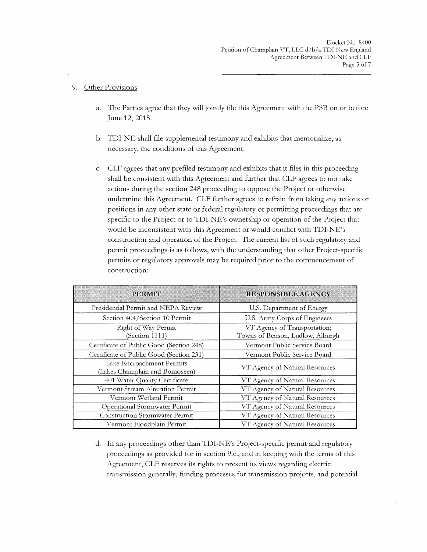#### 9. Other Provisions

- a. The Parties agree that they will jointly file this Agreement with the PSB on or before June 12, 2015.
- b. TDI-NE shall file supplemental testimony and exhibits that memorialize, as necessary, the conditions of this Agreement.
- c. CLF agrees that any prefiled testimony and exhibits that it files in this proceeding shall be consistent with this Agreement and further that CLF agrees to not take actions during the section 248 proceeding to oppose the Project or otherwise undermine this Agreement. CLF further agrees to refrain from taking any actions or positions in any other state or federal regulatory or permitting proceedings that are specific to the Project or to TDI-NE's ownership or operation of the Project that would be inconsistent with this Agreement or would conflict with TDI-NE's construction and operation of the Project. The current list of such regulatory and permit proceedings is as follows, with the understanding that other Project-specific permits or regulatory approvals may be required prior to the commencement of construction:

| <b>PERMIT</b>                                               | <b>RESPONSIBLE AGENCY</b>                                        |
|-------------------------------------------------------------|------------------------------------------------------------------|
| Presidential Permit and NEPA Review                         | U.S. Department of Energy                                        |
| Section 404/Section 10 Permit                               | U.S. Army Corps of Engineers                                     |
| Right of Way Permit<br>(Section 1111)                       | VT Agency of Transportation;<br>Towns of Benson, Ludlow, Alburgh |
| Certificate of Public Good (Section 248)                    | Vermont Public Service Board                                     |
| Certificate of Public Good (Section 231)                    | Vermont Public Service Board                                     |
| Lake Encroachment Permits<br>(Lakes Champlain and Bomoseen) | VT Agency of Natural Resources                                   |
| 401 Water Quality Certificate                               | VT Agency of Natural Resources                                   |
| Vermont Stream Alteration Permit                            | VT Agency of Natural Resources                                   |
| Vermont Wetland Permit                                      | VT Agency of Natural Resources                                   |
| Operational Stormwater Permit                               | VT Agency of Natural Resources                                   |
| <b>Construction Stormwater Permit</b>                       | VT Agency of Natural Resources                                   |
| Vermont Floodplain Permit                                   | VT Agency of Natural Resources                                   |

d. In any proceedings other than TDI-NE's Project-specific permit and regulatory proceedings as provided for in section 9.c., and in keeping with the terms of this Agreement, CLF reserves its rights to present its views regarding electric transmission generally, funding processes for transmission projects, and potential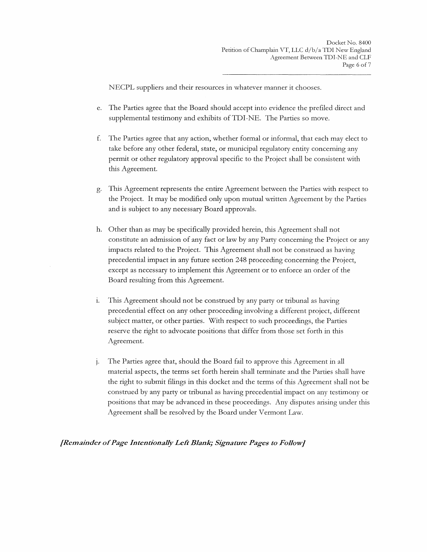NECPL suppliers and their resources in whatever manner it chooses.

- e. The Parties agree that the Board should accept into evidence the prefiled direct and supplemental testimony and exhibits of TDI-NE. The Parties so move.
- f. The Parties agree that any action, whether formal or informal, that each may elect to take before any other federal, state, or municipal regulatory entity concerning any permit or other regulatory approval specific to the Project shall be consistent with this Agreement.
- g. This Agreement represents the entire Agreement between the Parties with respect to the Project. It may be modified only upon mutual written Agreement by the Parties and is subject to any necessary Board approvals.
- h. Other than as may be specifically provided herein, this Agreement shall not constitute an admission of any fact or law by any Party concerning the Project or any impacts related to the Project. This Agreement shall not be construed as having precedential impact in any future section 248 proceeding concerning the Project, except as necessary to implement this Agreement or to enforce an order of the Board resulting from this Agreement.
- 1. This Agreement should not be construed by any party or tribunal as having precedential effect on any other proceeding involving a different project, different subject matter, or other parties. With respect to such proceedings, the Parties reserve the right to advocate positions that differ from those set forth in this Agreement.
- j. The Parties agree that, should the Board fail to approve this Agreement in all material aspects, the terms set forth herein shall terminate and the Parties shall have the right to submit filings in this docket and the terms of this Agreement shall not be construed by any party or tribunal as having precedential impact on any testimony or positions that may be advanced in these proceedings. Any disputes arising under this Agreement shall be resolved by the Board under Vermont Law.

*[Remainder of Page Intentionally Left Blank; Signature Pages to Follow]*